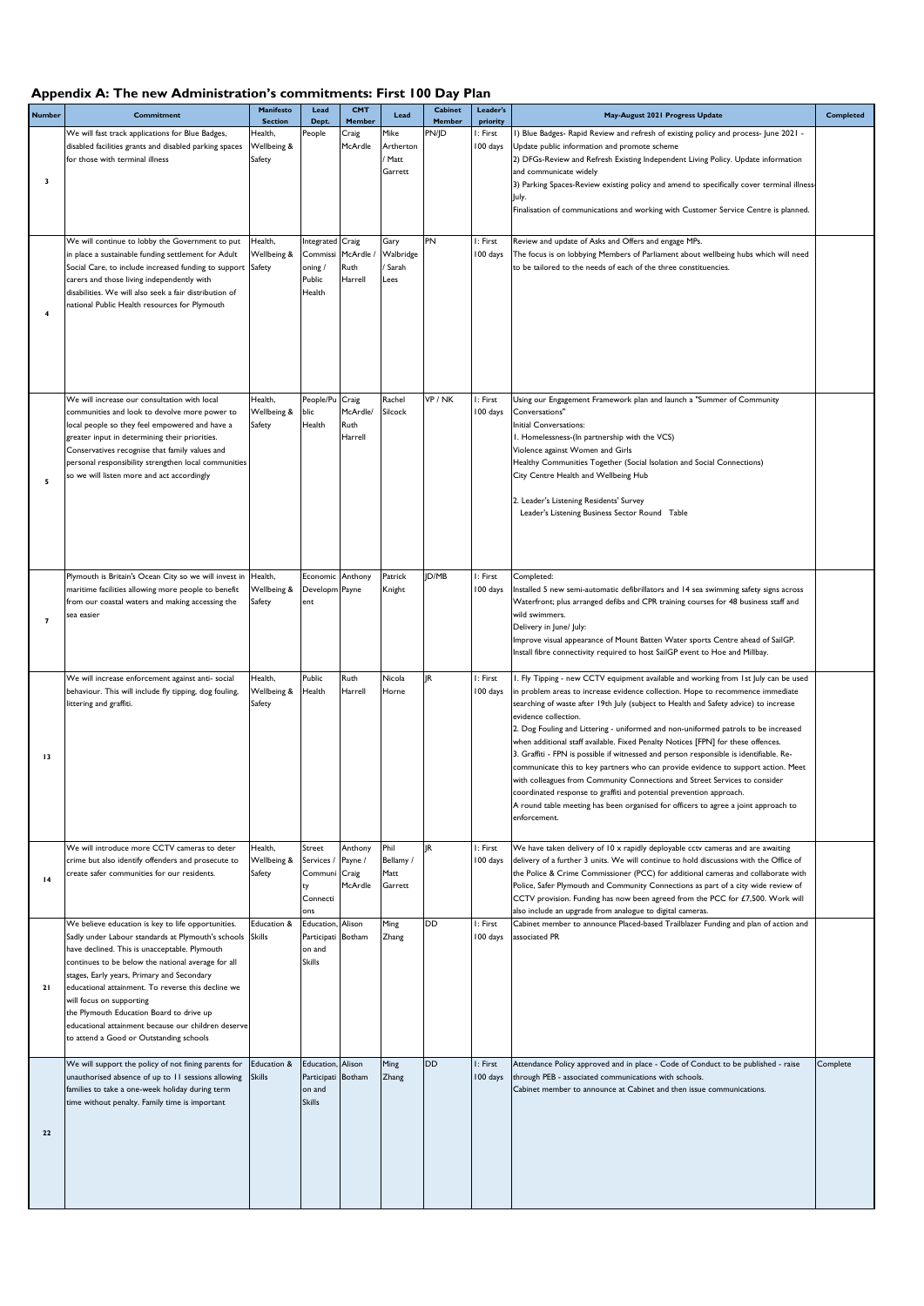## **Appendix A: The new Administration's commitments: First 100 Day Plan**

| <b>Number</b>           | <b>Commitment</b>                                                                                                                                                                                                                                                                                                                                                                                                                                                                             | Manifesto<br><b>Section</b>      | Lead<br>Dept.                                                      | CMT<br>Member                          | Lead                                   | Cabinet<br>Member | Leader's<br>priority | May-August 2021 Progress Update                                                                                                                                                                                                                                                                                                                                                                                                                                                                                                                                                                                                                                                                                                                                                                                                                                                                           | Completed |
|-------------------------|-----------------------------------------------------------------------------------------------------------------------------------------------------------------------------------------------------------------------------------------------------------------------------------------------------------------------------------------------------------------------------------------------------------------------------------------------------------------------------------------------|----------------------------------|--------------------------------------------------------------------|----------------------------------------|----------------------------------------|-------------------|----------------------|-----------------------------------------------------------------------------------------------------------------------------------------------------------------------------------------------------------------------------------------------------------------------------------------------------------------------------------------------------------------------------------------------------------------------------------------------------------------------------------------------------------------------------------------------------------------------------------------------------------------------------------------------------------------------------------------------------------------------------------------------------------------------------------------------------------------------------------------------------------------------------------------------------------|-----------|
| $\overline{\mathbf{3}}$ | We will fast track applications for Blue Badges,<br>disabled facilities grants and disabled parking spaces<br>for those with terminal illness                                                                                                                                                                                                                                                                                                                                                 | Health,<br>Wellbeing &<br>Safety | People                                                             | Craig<br>McArdle                       | Mike<br>Artherton<br>/ Matt<br>Garrett | PN/JD             | I: First<br>100 days | I) Blue Badges- Rapid Review and refresh of existing policy and process- June 2021 -<br>Update public information and promote scheme<br>2) DFGs-Review and Refresh Existing Independent Living Policy. Update information<br>and communicate widely<br>3) Parking Spaces-Review existing policy and amend to specifically cover terminal illness-<br>July.<br>Finalisation of communications and working with Customer Service Centre is planned.                                                                                                                                                                                                                                                                                                                                                                                                                                                         |           |
| $\overline{4}$          | We will continue to lobby the Government to put<br>in place a sustainable funding settlement for Adult<br>Social Care, to include increased funding to support<br>carers and those living independently with<br>disabilities. We will also seek a fair distribution of<br>national Public Health resources for Plymouth                                                                                                                                                                       | Health,<br>Wellbeing &<br>Safety | ntegrated Craig<br>Commissi<br>oning/<br>Public<br>Health          | McArdle /<br>Ruth<br>Harrell           | Gary<br>Walbridge<br>Sarah<br>Lees     | PN                | I: First<br>100 days | Review and update of Asks and Offers and engage MPs.<br>The focus is on lobbying Members of Parliament about wellbeing hubs which will need<br>to be tailored to the needs of each of the three constituencies.                                                                                                                                                                                                                                                                                                                                                                                                                                                                                                                                                                                                                                                                                           |           |
| 5                       | We will increase our consultation with local<br>communities and look to devolve more power to<br>local people so they feel empowered and have a<br>greater input in determining their priorities.<br>Conservatives recognise that family values and<br>personal responsibility strengthen local communities<br>so we will listen more and act accordingly                                                                                                                                     | Health,<br>Wellbeing &<br>Safety | People/Pu Craig<br>blic<br>Health                                  | McArdle/<br>Ruth<br>Harrell            | Rachel<br>Silcock                      | VP / NK           | I: First<br>100 days | Using our Engagement Framework plan and launch a "Summer of Community<br>Conversations"<br>Initial Conversations:<br>I. Homelessness-(In partnership with the VCS)<br>Violence against Women and Girls<br>Healthy Communities Together (Social Isolation and Social Connections)<br>City Centre Health and Wellbeing Hub<br>2. Leader's Listening Residents' Survey<br>Leader's Listening Business Sector Round Table                                                                                                                                                                                                                                                                                                                                                                                                                                                                                     |           |
| $\overline{7}$          | Plymouth is Britain's Ocean City so we will invest in<br>maritime facilities allowing more people to benefit<br>from our coastal waters and making accessing the<br>sea easier                                                                                                                                                                                                                                                                                                                | Health,<br>Wellbeing &<br>Safety | Economic Anthony<br>Developm Payne<br>ent                          |                                        | Patrick<br>Knight                      | ID/MB             | I: First<br>100 days | Completed:<br>Installed 5 new semi-automatic defibrillators and 14 sea swimming safety signs across<br>Waterfront; plus arranged defibs and CPR training courses for 48 business staff and<br>wild swimmers.<br>Delivery in June/ July:<br>Improve visual appearance of Mount Batten Water sports Centre ahead of SailGP.<br>Install fibre connectivity required to host SailGP event to Hoe and Millbay.                                                                                                                                                                                                                                                                                                                                                                                                                                                                                                 |           |
| 13                      | We will increase enforcement against anti-social<br>behaviour. This will include fly tipping, dog fouling,<br>littering and graffiti.                                                                                                                                                                                                                                                                                                                                                         | Health,<br>Wellbeing &<br>Safety | Public<br>Health                                                   | Ruth<br>Harrell                        | Nicola<br>Horne                        | IR.               | I: First<br>100 days | I. Fly Tipping - new CCTV equipment available and working from 1st July can be used<br>in problem areas to increase evidence collection. Hope to recommence immediate<br>searching of waste after 19th July (subject to Health and Safety advice) to increase<br>evidence collection.<br>2. Dog Fouling and Littering - uniformed and non-uniformed patrols to be increased<br>when additional staff available. Fixed Penalty Notices [FPN] for these offences.<br>3. Graffiti - FPN is possible if witnessed and person responsible is identifiable. Re-<br>communicate this to key partners who can provide evidence to support action. Meet<br>with colleagues from Community Connections and Street Services to consider<br>coordinated response to graffiti and potential prevention approach.<br>A round table meeting has been organised for officers to agree a joint approach to<br>enforcement. |           |
| 4                       | We will introduce more CCTV cameras to deter<br>crime but also identify offenders and prosecute to<br>create safer communities for our residents.                                                                                                                                                                                                                                                                                                                                             | Health,<br>Wellbeing &<br>Safety | Street<br>Services /<br>Communi<br>ty<br>Connecti<br>ons           | Anthony<br>Payne /<br>Craig<br>McArdle | Phil<br>Bellamy /<br>Matt<br>Garrett   | <b>IR</b>         | I: First<br>100 days | We have taken delivery of 10 x rapidly deployable cctv cameras and are awaiting<br>delivery of a further 3 units. We will continue to hold discussions with the Office of<br>the Police & Crime Commissioner (PCC) for additional cameras and collaborate with<br>Police, Safer Plymouth and Community Connections as part of a city wide review of<br>CCTV provision. Funding has now been agreed from the PCC for £7,500. Work will<br>also include an upgrade from analogue to digital cameras.                                                                                                                                                                                                                                                                                                                                                                                                        |           |
| 21                      | We believe education is key to life opportunities.<br>Sadly under Labour standards at Plymouth's schools<br>have declined. This is unacceptable. Plymouth<br>continues to be below the national average for all<br>stages, Early years, Primary and Secondary<br>educational attainment. To reverse this decline we<br>will focus on supporting<br>the Plymouth Education Board to drive up<br>educational attainment because our children deserve<br>to attend a Good or Outstanding schools | Education &<br><b>Skills</b>     | Education, Alison<br>Participati Botham<br>on and<br>Skills        |                                        | Ming<br>Zhang                          | <b>DD</b>         | I: First<br>100 days | Cabinet member to announce Placed-based Trailblazer Funding and plan of action and<br>associated PR                                                                                                                                                                                                                                                                                                                                                                                                                                                                                                                                                                                                                                                                                                                                                                                                       |           |
| 22                      | We will support the policy of not fining parents for<br>unauthorised absence of up to 11 sessions allowing<br>families to take a one-week holiday during term<br>time without penalty. Family time is important                                                                                                                                                                                                                                                                               | Education &<br><b>Skills</b>     | Education, Alison<br>Participati Botham<br>on and<br><b>Skills</b> |                                        | Ming<br>Zhang                          | DD                | I: First<br>100 days | Attendance Policy approved and in place - Code of Conduct to be published - raise<br>through PEB - associated communications with schools.<br>Cabinet member to announce at Cabinet and then issue communications.                                                                                                                                                                                                                                                                                                                                                                                                                                                                                                                                                                                                                                                                                        | Complete  |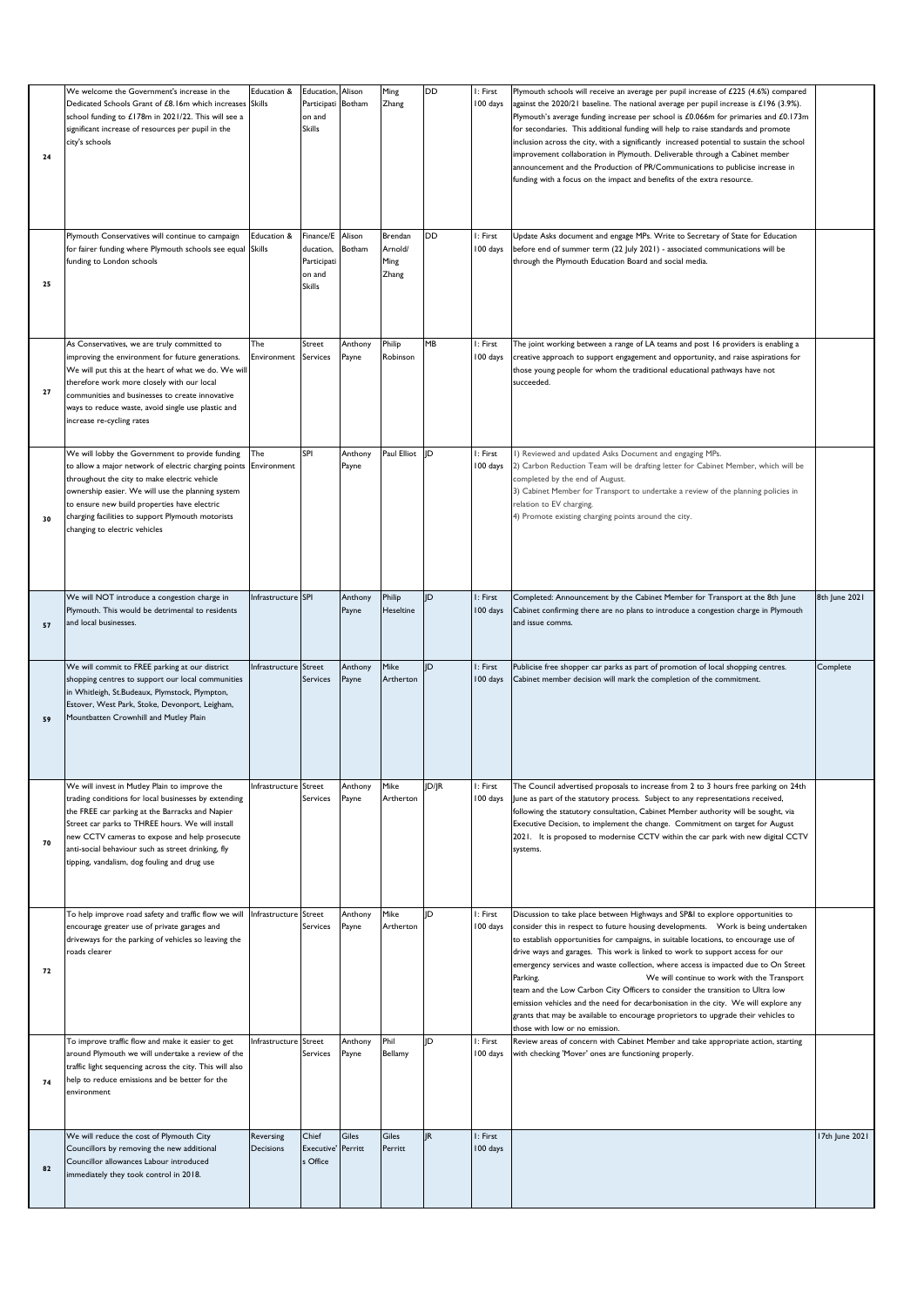| 24 | We welcome the Government's increase in the<br>Dedicated Schools Grant of £8.16m which increases<br>school funding to £178m in 2021/22. This will see a<br>significant increase of resources per pupil in the<br>city's schools                                                                                                                                     | Education &<br><b>Skills</b> | Education, Alison<br>Participati<br>on and<br><b>Skills</b>      | Botham           | Ming<br>Zhang                       | DD        | I: First<br>100 days | Plymouth schools will receive an average per pupil increase of $£225$ (4.6%) compared<br>against the $2020/21$ baseline. The national average per pupil increase is £196 (3.9%).<br>Plymouth's average funding increase per school is £0.066m for primaries and £0.173m<br>for secondaries. This additional funding will help to raise standards and promote<br>inclusion across the city, with a significantly increased potential to sustain the school<br>improvement collaboration in Plymouth. Deliverable through a Cabinet member<br>announcement and the Production of PR/Communications to publicise increase in<br>funding with a focus on the impact and benefits of the extra resource.      |                |
|----|---------------------------------------------------------------------------------------------------------------------------------------------------------------------------------------------------------------------------------------------------------------------------------------------------------------------------------------------------------------------|------------------------------|------------------------------------------------------------------|------------------|-------------------------------------|-----------|----------------------|----------------------------------------------------------------------------------------------------------------------------------------------------------------------------------------------------------------------------------------------------------------------------------------------------------------------------------------------------------------------------------------------------------------------------------------------------------------------------------------------------------------------------------------------------------------------------------------------------------------------------------------------------------------------------------------------------------|----------------|
| 25 | Plymouth Conservatives will continue to campaign<br>for fairer funding where Plymouth schools see equal<br>funding to London schools                                                                                                                                                                                                                                | Education &<br><b>Skills</b> | Finance/E<br>ducation,<br>Participati<br>on and<br><b>Skills</b> | Alison<br>Botham | Brendan<br>Arnold/<br>Ming<br>Zhang | <b>DD</b> | I: First<br>100 days | Update Asks document and engage MPs. Write to Secretary of State for Education<br>before end of summer term (22 July 2021) - associated communications will be<br>through the Plymouth Education Board and social media.                                                                                                                                                                                                                                                                                                                                                                                                                                                                                 |                |
| 27 | As Conservatives, we are truly committed to<br>improving the environment for future generations.<br>We will put this at the heart of what we do. We will<br>therefore work more closely with our local<br>communities and businesses to create innovative<br>ways to reduce waste, avoid single use plastic and<br>increase re-cycling rates                        | The<br>Environment           | Street<br>Services                                               | Anthony<br>Payne | Philip<br>Robinson                  | MB        | I: First<br>100 days | The joint working between a range of LA teams and post 16 providers is enabling a<br>creative approach to support engagement and opportunity, and raise aspirations for<br>those young people for whom the traditional educational pathways have not<br>succeeded.                                                                                                                                                                                                                                                                                                                                                                                                                                       |                |
| 30 | We will lobby the Government to provide funding<br>to allow a major network of electric charging points<br>throughout the city to make electric vehicle<br>ownership easier. We will use the planning system<br>to ensure new build properties have electric<br>charging facilities to support Plymouth motorists<br>changing to electric vehicles                  | The<br>Environment           | SPI                                                              | Anthony<br>Payne | Paul Elliot                         | ID        | I: First<br>100 days | I) Reviewed and updated Asks Document and engaging MPs.<br>2) Carbon Reduction Team will be drafting letter for Cabinet Member, which will be<br>completed by the end of August.<br>3) Cabinet Member for Transport to undertake a review of the planning policies in<br>relation to EV charging.<br>4) Promote existing charging points around the city.                                                                                                                                                                                                                                                                                                                                                |                |
| 57 | We will NOT introduce a congestion charge in<br>Plymouth. This would be detrimental to residents<br>and local businesses.                                                                                                                                                                                                                                           | Infrastructure SPI           |                                                                  | Anthony<br>Payne | Philip<br>Heseltine                 | JD        | I: First<br>100 days | Completed: Announcement by the Cabinet Member for Transport at the 8th June<br>Cabinet confirming there are no plans to introduce a congestion charge in Plymouth<br>and issue comms.                                                                                                                                                                                                                                                                                                                                                                                                                                                                                                                    | 8th June 2021  |
| 59 | We will commit to FREE parking at our district<br>shopping centres to support our local communities<br>in Whitleigh, St.Budeaux, Plymstock, Plympton,<br>Estover, West Park, Stoke, Devonport, Leigham,<br>Mountbatten Crownhill and Mutley Plain                                                                                                                   | Infrastructure Street        | Services                                                         | Anthony<br>Payne | Mike<br>Artherton                   | ID        | I: First<br>100 days | Publicise free shopper car parks as part of promotion of local shopping centres.<br>Cabinet member decision will mark the completion of the commitment.                                                                                                                                                                                                                                                                                                                                                                                                                                                                                                                                                  | Complete       |
| 70 | We will invest in Mutley Plain to improve the<br>trading conditions for local businesses by extending<br>the FREE car parking at the Barracks and Napier<br>Street car parks to THREE hours. We will install<br>new CCTV cameras to expose and help prosecute<br>anti-social behaviour such as street drinking, fly<br>tipping, vandalism, dog fouling and drug use | Infrastructure Street        | Services                                                         | Anthony<br>Payne | Mike<br>Artherton                   | JD/JR     | I: First<br>100 days | The Council advertised proposals to increase from 2 to 3 hours free parking on 24th<br>June as part of the statutory process. Subject to any representations received,<br>following the statutory consultation, Cabinet Member authority will be sought, via<br>Executive Decision, to implement the change. Commitment on target for August<br>2021. It is proposed to modernise CCTV within the car park with new digital CCTV<br>systems.                                                                                                                                                                                                                                                             |                |
| 72 | To help improve road safety and traffic flow we will<br>encourage greater use of private garages and<br>driveways for the parking of vehicles so leaving the<br>roads clearer                                                                                                                                                                                       | Infrastructure Street        | Services                                                         | Anthony<br>Payne | Mike<br>Artherton                   | ID        | I: First<br>100 days | Discussion to take place between Highways and SP&I to explore opportunities to<br>to establish opportunities for campaigns, in suitable locations, to encourage use of<br>drive ways and garages. This work is linked to work to support access for our<br>emergency services and waste collection, where access is impacted due to On Street<br>We will continue to work with the Transport<br>Parking.<br>team and the Low Carbon City Officers to consider the transition to Ultra low<br>emission vehicles and the need for decarbonisation in the city. We will explore any<br>grants that may be available to encourage proprietors to upgrade their vehicles to<br>those with low or no emission. |                |
| 74 | To improve traffic flow and make it easier to get<br>around Plymouth we will undertake a review of the<br>traffic light sequencing across the city. This will also<br>help to reduce emissions and be better for the<br>environment                                                                                                                                 | Infrastructure Street        | Services                                                         | Anthony<br>Payne | Phil<br>Bellamy                     | ID        | I: First<br>100 days | Review areas of concern with Cabinet Member and take appropriate action, starting<br>with checking 'Mover' ones are functioning properly.                                                                                                                                                                                                                                                                                                                                                                                                                                                                                                                                                                |                |
| 82 | We will reduce the cost of Plymouth City<br>Councillors by removing the new additional<br>Councillor allowances Labour introduced<br>immediately they took control in 2018.                                                                                                                                                                                         | Reversing<br>Decisions       | Chief<br>Executive'<br>s Office                                  | Giles<br>Perritt | Giles<br>Perritt                    | <b>IR</b> | I: First<br>100 days |                                                                                                                                                                                                                                                                                                                                                                                                                                                                                                                                                                                                                                                                                                          | 17th June 2021 |